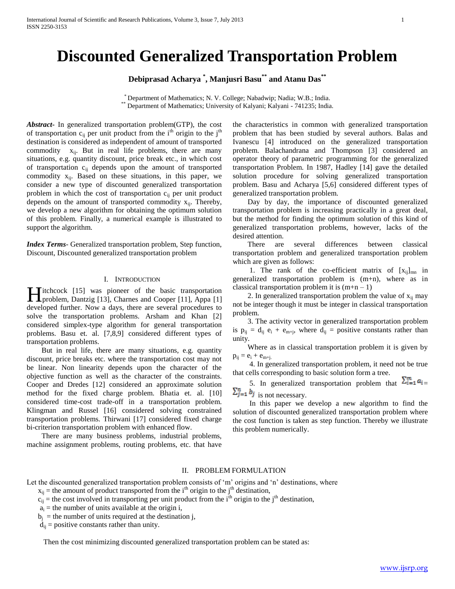# **Discounted Generalized Transportation Problem**

**Debiprasad Acharya \* , Manjusri Basu\*\* and Atanu Das\*\***

\* Department of Mathematics; N. V. College; Nabadwip; Nadia; W.B.; India. \*\* Department of Mathematics; University of Kalyani; Kalyani - 741235; India.

*Abstract***-** In generalized transportation problem(GTP), the cost of transportation  $c_{ii}$  per unit product from the i<sup>th</sup> origin to the j<sup>th</sup> destination is considered as independent of amount of transported commodity  $x_{ii}$ . But in real life problems, there are many situations, e.g. quantity discount, price break etc., in which cost of transportation  $c_{ij}$  depends upon the amount of transported commodity  $x_{ii}$ . Based on these situations, in this paper, we consider a new type of discounted generalized transportation problem in which the cost of transportation  $c_{ii}$  per unit product depends on the amount of transported commodity  $x_{ii}$ . Thereby, we develop a new algorithm for obtaining the optimum solution of this problem. Finally, a numerical example is illustrated to support the algorithm.

*Index Terms*- Generalized transportation problem, Step function, Discount, Discounted generalized transportation problem

### I. INTRODUCTION

**Titchcock** [15] was pioneer of the basic transportation Hitchcock [15] was pioneer of the basic transportation<br>problem, Dantzig [13], Charnes and Cooper [11], Appa [1] developed further. Now a days, there are several procedures to solve the transportation problems. Arsham and Khan [2] considered simplex-type algorithm for general transportation problems. Basu et. al. [7,8,9] considered different types of transportation problems.

 But in real life, there are many situations, e.g. quantity discount, price breaks etc. where the transportation cost may not be linear. Non linearity depends upon the character of the objective function as well as the character of the constraints. Cooper and Dredes [12] considered an approximate solution method for the fixed charge problem. Bhatia et. al. [10] considered time-cost trade-off in a transportation problem. Klingman and Russel [16] considered solving constrained transportation problems. Thirwani [17] considered fixed charge bi-criterion transportation problem with enhanced flow.

 There are many business problems, industrial problems, machine assignment problems, routing problems, etc. that have the characteristics in common with generalized transportation problem that has been studied by several authors. Balas and Ivanescu [4] introduced on the generalized transportation problem. Balachandrana and Thompson [3] considered an operator theory of parametric programming for the generalized transportation Problem. In 1987, Hadley [14] gave the detailed solution procedure for solving generalized transportation problem. Basu and Acharya [5,6] considered different types of generalized transportation problem.

 Day by day, the importance of discounted generalized transportation problem is increasing practically in a great deal, but the method for finding the optimum solution of this kind of generalized transportation problems, however, lacks of the desired attention.

 There are several differences between classical transportation problem and generalized transportation problem which are given as follows:

1. The rank of the co-efficient matrix of  $[x_{ij}]_{mn}$  in generalized transportation problem is (m+n), where as in classical transportation problem it is  $(m+n-1)$ 

2. In generalized transportation problem the value of  $x_{ii}$  may not be integer though it must be integer in classical transportation problem.

 3. The activity vector in generalized transportation problem is  $p_{ij} = d_{ij} e_i + e_{m+j}$ , where  $d_{ij} =$  positive constants rather than unity.

 Where as in classical transportation problem it is given by  $p_{ij} = e_i + e_{m+j}$ .

 4. In generalized transportation problem, it need not be true that cells corresponding to basic solution form a tree.

5. In generalized transportation problem that  $\sum_{i=1}^{m} a_i$  $\sum_{j=1}^{n} b_j$  is not necessary.

 In this paper we develop a new algorithm to find the solution of discounted generalized transportation problem where the cost function is taken as step function. Thereby we illustrate this problem numerically.

## II. PROBLEM FORMULATION

Let the discounted generalized transportation problem consists of 'm' origins and 'n' destinations, where

- $x_{ij}$  = the amount of product transported from the i<sup>th</sup> origin to the j<sup>th</sup> destination,
- $c_{ij}$  = the cost involved in transporting per unit product from the i<sup>th</sup> origin to the j<sup>th</sup> destination,
	- $a_i$  = the number of units available at the origin i,
- $b_j$  = the number of units required at the destination j,

 $d_{ii}$  = positive constants rather than unity.

Then the cost minimizing discounted generalized transportation problem can be stated as: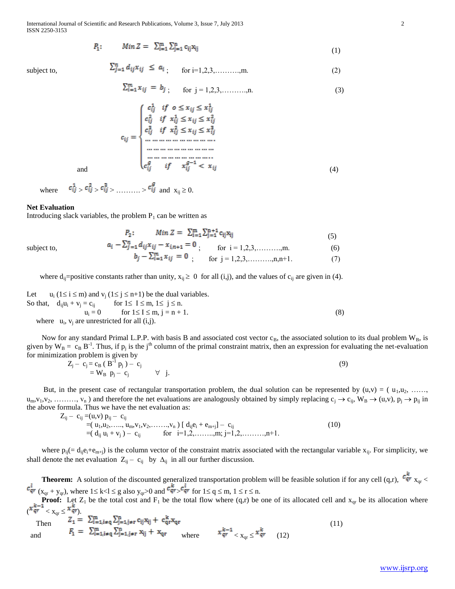$$
P_1: \t Min Z = \sum_{i=1}^{m} \sum_{j=1}^{n} c_{ij} x_{ij} \t (1)
$$

subject to, 
$$
\sum_{j=1}^{n} d_{ij} x_{ij} \leq a_i
$$
, for i=1,2,3,........,m. (2)

$$
\sum_{i=1}^{m} x_{ij} = b_j, \quad \text{for } j = 1, 2, 3, \dots, n. \tag{3}
$$

$$
c_{ij} = \begin{cases} c_{ij}^{1} & \text{if } o \leq x_{ij} \leq x_{ij}^{1} \\ c_{ij}^{2} & \text{if } x_{ij}^{1} \leq x_{ij} \leq x_{ij}^{2} \\ c_{ij}^{3} & \text{if } x_{ij}^{2} \leq x_{ij} \leq x_{ij}^{3} \\ \dots & \dots & \dots & \dots \\ \dots & \dots & \dots & \dots \\ \dots & \dots & \dots & \dots \\ \dots & \dots & \dots & \dots \\ \dots & \dots & \dots & \dots \\ c_{ij}^{g} & \text{if } x_{ij}^{g-1} < x_{ij} \end{cases} \tag{4}
$$

where  $c_{ij}^1 > c_{ij}^2 > c_{ij}^3 > \dots > c_{ij}^g$  and  $x_{ii} \ge 0$ .

#### **Net Evaluation**

Introducing slack variables, the problem  $P_1$  can be written as

$$
P_2: \t Min Z = \sum_{i=1}^{m} \sum_{j=1}^{n+1} c_{ij} x_{ij} \t (5)
$$

subject to,  
\n
$$
a_i - \sum_{j=1}^m a_{ij} x_{ij} - x_{i,n+1} - 0
$$
\n
$$
b_j - \sum_{i=1}^m x_{ij} = 0
$$
\nfor  $i = 1, 2, 3, \dots, m, m+1$ . (6)

where d<sub>ij</sub>=positive constants rather than unity,  $x_{ij} \ge 0$  for all (i,j), and the values of c<sub>ij</sub> are given in (4).

Let 
$$
u_i (1 \le i \le m)
$$
 and  $v_j (1 \le j \le n+1)$  be the dual variables.  
\nSo that,  $d_{ij}u_i + v_j = c_{ij}$  for  $1 \le I \le m, 1 \le j \le n$ .  
\n $u_i = 0$  for  $1 \le I \le m, j = n + 1$ .  
\nwhere  $u_i$ ,  $v_j$  are unrestricted for all  $(i,j)$ .  
\n(8)

Now for any standard Primal L.P.P. with basis B and associated cost vector  $c_B$ , the associated solution to its dual problem  $W_B$ , is given by  $W_B = c_B B^{-1}$ . Thus, if  $p_i$  is the j<sup>th</sup> column of the primal constraint matrix, then an expression for evaluating the net-evaluation for minimization problem is given by

$$
Z_j - c_j = c_B (B21 p_j) - c_j
$$
  
=  $W_B p_j - c_j$   $\forall j.$  (9)

But, in the present case of rectangular transportation problem, the dual solution can be represented by  $(u,v) = (u_1,u_2, \ldots, u_n)$  $u_m, v_1, v_2, \ldots, v_n$ ) and therefore the net evaluations are analogously obtained by simply replacing  $c_j \rightarrow c_{ij}$ ,  $W_B \rightarrow (u,v)$ ,  $p_j \rightarrow p_{ij}$  in the above formula. Thus we have the net evaluation as:

 $Z_{ij} - c_{ij} = (u,v) p_{ij} - c_{ij}$  $=(u_1, u_2, \ldots, u_m, v_1, v_2, \ldots, v_n) [\ d_{ij}e_i + e_{m+j}] - c_{ij}$  (10)  $=( d_{ij} u_i + v_j) - c_{ij}$  for  $i=1,2,......,m; j=1,2,......,n+1$ .

where  $p_{ij} = d_{ij}e_i + e_{m+j}$  is the column vector of the constraint matrix associated with the rectangular variable  $x_{ij}$ . For simplicity, we shall denote the net evaluation  $Z_{ij} - c_{ij}$  by  $\Delta_{ij}$  in all our further discussion.

**Theorem:** A solution of the discounted generalized transportation problem will be feasible solution if for any cell (q,r),  $c_{qr}^k$ <sub> $x_{qr}$ </sub>  $(x_{qr} + y_{qr})$ , where  $1 \le k < l \le g$  also  $y_{qr} > 0$  and  $\frac{Gqr}{q} > \frac{Gqr}{q}$  for  $1 \le q \le m$ ,  $1 \le r \le n$ .

**Proof:** Let  $Z_1$  be the total cost and  $F_1$  be the total flow where  $(q,r)$  be one of its allocated cell and  $x_{qr}$  be its allocation where  $\left| x_{qr}^{k-1} \right| < \frac{x_q}{x_q}$ 

Then 
$$
Z_{1} = \sum_{i=1, i \neq q}^{m} \sum_{j=1, j \neq r}^{n} c_{ij} x_{ij} + c_{qr}^{k} x_{qr}
$$
  
and 
$$
F_{1} = \sum_{i=1, i \neq q}^{m} \sum_{j=1, j \neq r}^{n} x_{ij} + x_{qr}
$$
 where 
$$
x_{qr}^{k-1} < x_{qr} \leq x_{qr}^{k}
$$
 (12)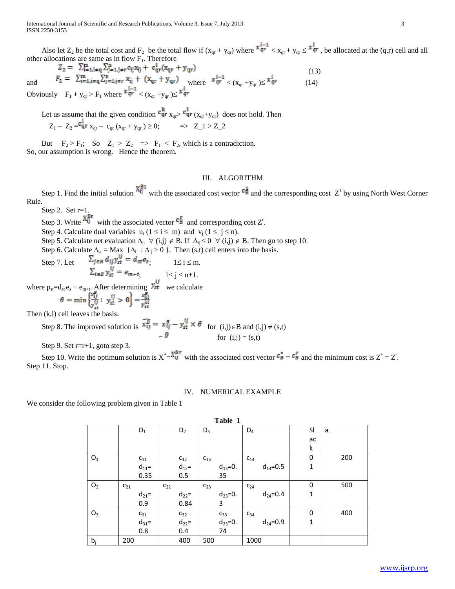Also let  $Z_2$  be the total cost and  $F_2$  be the total flow if  $(x_{qr} + y_{qr})$  where  $\frac{x_{qr}^{l-1}}{q} < x_{qr} + y_{qr} \leq \frac{x_{qr}^{l}}{q}$ , be allocated at the  $(q,r)$  cell and all other allocations are same as in flow  $F_1$ . Therefore

$$
Z_2 = \sum_{i=1, i \neq q}^{m} \sum_{j=1, j \neq r}^{n} c_{ij} x_{ij} + c_{qr}^1 (x_{qr} + y_{qr})
$$
\n
$$
F_2 = \sum_{i=1, i \neq q}^{m} \sum_{j=1, j \neq r}^{n} x_{ij} + (x_{qr} + y_{qr})
$$
\nwhere  $x_{qr}^{l-1} < (x_{qr} + y_{qr}) \le x_{qr}^l$  (14)

Obviously  $F_1 + y_{qr} > F_1$  where  $\frac{x_{qr}^{l-1}}{r} < (x_{qr} + y_{qr}) \leq \frac{x_{qr}^{l}}{r}$ 

Let us assume that the given condition  $\frac{c_{qr}}{x_{qr}}$ ,  $\frac{c_{qr}}{x_{qr}+y_{qr}}$  does not hold. Then  $Z_1 - Z_2 = \frac{c_{qr}}{q} x_{qr} - c_{qr} (x_{qr} + y_{qr}) \geq 0;$   $\implies Z_1 > Z_2$ 

But  $F_2 > F_1$ ; So  $Z_1 > Z_2 \implies F_1 < F_2$ , which is a contradiction. So, our assumption is wrong. Hence the theorem.

#### III. ALGORITHM

Step 1. Find the initial solution  $\frac{\Delta_{ij}}{l}$  with the associated cost vector  $\frac{c_{\vec{B}}}{l}$  and the corresponding cost  $Z^1$  by using North West Corner Rule.

Step 2. Set r=1.

Step 3. Write  $\frac{Ai_1^T}{i}$  with the associated vector  $\frac{E_1}{i}$  and corresponding cost Z<sup>r</sup>.

Step 4. Calculate dual variables  $u_i$  ( $1 \le i \le m$ ) and  $v_i$  ( $1 \le j \le n$ ).

Step 5. Calculate net evaluation  $\Delta_{ij} \ \forall (i,j) \notin B$ . If  $\Delta_{ij} \le 0 \ \forall (i,j) \notin B$ . Then go to step 10.

Step 6. Calculate  $\Delta_{st} = \text{Max } {\{\Delta_{ij} : \Delta_{ij} > 0\}}$ . Then (s,t) cell enters into the basis.<br>Step 7. Let  $\sum_{j \in \mathcal{B}} d_{ij} y_{st}^{ij} = d_{st} e_s$ ,  $1 \le i \le m$ . Step 7. Let  $\Delta_{j \in B} a_{ij} y_{st} = a_{st} e_s$ ;  $1 \le i \le m$ .  $\mathcal{L}_{i \in B} y_{st} = e_{m+t}$ ,  $1 \le j \le n+1$ . where  $p_{st}=d_{st}e_s + e_{m+t}$ . After determining  $\frac{\mathbf{y}_{st}}{\mathbf{y}_{st}}$  we calculate

Then (k,l) cell leaves the basis.

Step 8. The improved solution is  $\overline{x_{ij}^B} = x_{ij}^B - y_{st}^{ij} \times \theta$  for  $(i,j) \in B$  and  $(i,j) \neq (s,t)$ for  $(i, j) = (s,t)$ 

Step 9. Set  $r=r+1$ , goto step 3.

Step 10. Write the optimum solution is  $X^* = \frac{X^* + Y^*}{Y}$  with the associated cost vector  $c^* = c^T$  and the minimum cost is  $Z^* = Z^*$ . Step 11. Stop.

#### IV. NUMERICAL EXAMPLE

We consider the following problem given in Table 1

| Table 1        |          |                   |          |                                                |          |                                 |          |                |             |    |       |
|----------------|----------|-------------------|----------|------------------------------------------------|----------|---------------------------------|----------|----------------|-------------|----|-------|
|                |          | $D_1$             |          | $D_2$                                          | $D_3$    |                                 | $D_4$    |                |             | SI | $a_i$ |
|                |          |                   |          |                                                |          |                                 |          |                |             | ac |       |
|                |          |                   |          |                                                |          |                                 |          |                | k           |    |       |
| O <sub>1</sub> |          | $\mathrm{c}_{11}$ |          |                                                | $C_{13}$ |                                 | $C_{14}$ |                | 0           |    | 200   |
|                |          | $d_{11} =$        |          | $\begin{array}{c} c_{12}\\d_{12}= \end{array}$ |          | $d_{13} = 0.$                   |          | $d_{14} = 0.5$ | $\mathbf 1$ |    |       |
|                |          | 0.35              |          | 0.5                                            |          | 35                              |          |                |             |    |       |
| O <sub>2</sub> | $C_{21}$ |                   | $C_{22}$ |                                                | $C_{23}$ |                                 | $C_{24}$ |                | 0           |    | 500   |
|                |          | $d_{21}$ =        |          | $d_{22}$ =                                     |          | $d_{23} = 0.$                   |          | $d_{24} = 0.4$ | $\mathbf 1$ |    |       |
|                |          | 0.9               |          | 0.84                                           |          | 3                               |          |                |             |    |       |
| $O_3$          |          | $C_{31}$          |          | $C_{32}$                                       |          |                                 | $C_{34}$ |                | 0           |    | 400   |
|                |          | $d_{31} =$        |          | $d_{22}$ =                                     |          | $c_{33}$<br>d <sub>23</sub> =0. |          | $d_{24} = 0.9$ | $\mathbf 1$ |    |       |
|                |          | 0.8               |          | 0.4                                            |          | 74                              |          |                |             |    |       |
| $b_i$          | 200      |                   |          | 400                                            | 500      |                                 | 1000     |                |             |    |       |
|                |          |                   |          |                                                |          |                                 |          |                |             |    |       |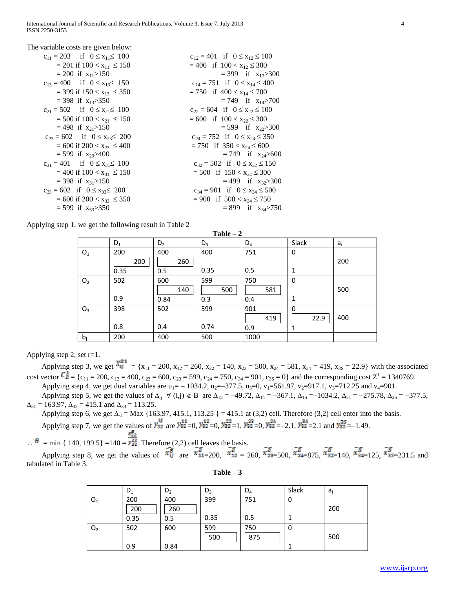| The variable costs are given below:         |                                          |
|---------------------------------------------|------------------------------------------|
| $c_{11} = 203$ if $0 \le x_{11} \le 100$    | $c_{12} = 401$ if $0 \le x_{12} \le 100$ |
| $= 201$ if $100 < x_{11} \le 150$           | $= 400$ if $100 < x_{12} \leq 300$       |
| $= 200$ if $x_{11} > 150$                   | $=$ 399 if $x_{12}$ > 300                |
| $c_{13} = 400$ if $0 \le x_{13} \le 150$    | $c_{14} = 751$ if $0 \le x_{14} \le 400$ |
| $=$ 399 if 150 < x <sub>13</sub> $\leq$ 350 | $= 750$ if $400 < x_{14} \le 700$        |
| $=$ 398 if x <sub>13</sub> >350             | $= 749$ if $x_{14} > 700$                |
| $c_{21} = 502$ if $0 \le x_{21} \le 100$    | $c_{22} = 604$ if $0 \le x_{22} \le 100$ |
| $= 500$ if $100 < x_{21} \le 150$           | $= 600$ if $100 < x_{22} \le 300$        |
| $= 498$ if $x_{21} > 150$                   | $= 599$ if $x_{22} > 300$                |
| $c_{23} = 602$ if $0 \le x_{23} \le 200$    | $c_{24} = 752$ if $0 \le x_{24} \le 350$ |
| $= 600$ if 200 $< x_{23} \le 400$           | $= 750$ if $350 < x_{24} \le 600$        |
| $=$ 599 if x <sub>23</sub> >400             | $= 749$ if $x_{24} > 600$                |
| $c_{31} = 401$ if $0 \le x_{31} \le 100$    | $c_{32} = 502$ if $0 \le x_{32} \le 150$ |
| $= 400$ if $100 < x_{31} \le 150$           | $= 500$ if $150 < x_{32} \le 300$        |
| $=$ 398 if $x_{31}$ >150                    | $= 499$ if $x_{32} > 300$                |
| $c_{33} = 602$ if $0 \le x_{33} \le 200$    | $c_{34} = 901$ if $0 \le x_{34} \le 500$ |
| $= 600$ if 200 $< x_{33} \le 350$           | $= 900$ if $500 < x_{34} \le 750$        |
| $=$ 599 if x <sub>33</sub> >350             | $= 899$ if $x_{34} > 750$                |

Applying step 1, we get the following result in Table 2

| $Table - 2$    |                    |                    |                   |                   |                       |       |  |  |
|----------------|--------------------|--------------------|-------------------|-------------------|-----------------------|-------|--|--|
|                | $D_1$              | $D_2$              | $D_3$             | $D_4$             | Slack                 | $a_i$ |  |  |
| O <sub>1</sub> | 200<br>200<br>0.35 | 400<br>260<br>0.5  | 400<br>0.35       | 751<br>0.5        | 0<br>1                | 200   |  |  |
| O <sub>2</sub> | 502<br>0.9         | 600<br>140<br>0.84 | 599<br>500<br>0.3 | 750<br>581<br>0.4 | $\mathbf 0$<br>1      | 500   |  |  |
| $O_3$          | 398<br>0.8         | 502<br>0.4         | 599<br>0.74       | 901<br>419<br>0.9 | $\Omega$<br>22.9<br>1 | 400   |  |  |
| $b_i$          | 200                | 400                | 500               | 1000              |                       |       |  |  |

Applying step 2, set  $r=1$ .

Applying step 3, we get  $\frac{X_{ij}^{B_1}}{X_{ij}} = \{x_{11} = 200, x_{12} = 260, x_{22} = 140, x_{23} = 500, x_{24} = 581, x_{34} = 419, x_{35} = 22.9\}$  with the associated cost vector  $C_{B}^{\perp} = \{c_{11} = 200, c_{12} = 400, c_{22} = 600, c_{23} = 599, c_{24} = 750, c_{34} = 901, c_{35} = 0\}$  and the corresponding cost  $Z^1 = 1340769$ . Applying step 4, we get dual variables are  $u_1 = -1034.2$ ,  $u_2 = -377.5$ ,  $u_3 = 0$ ,  $v_1 = 561.97$ ,  $v_2 = 917.1$ ,  $v_3 = 712.25$  and  $v_4 = 901$ .

Applying step 5, we get the values of  $\Delta_{ii} \forall (i,j) \notin B$  are  $\Delta_{13} = -49.72$ ,  $\Delta_{14} = -367.1$ ,  $\Delta_{1S} = -1034.2$ ,  $\Delta_{21} = -275.78$ ,  $\Delta_{2S} = -377.5$ ,  $\Delta_{31} = 163.97$ ,  $\Delta_{32} = 415.1$  and  $\Delta_{33} = 113.25$ .

Applying step 6, we get  $\Delta_{st} = \text{Max } \{163.97, 415.1, 113.25 \} = 415.1$  at (3,2) cell. Therefore (3,2) cell enter into the basis. Applying step 7, we get the values of  $y_{32}^{ij}$  are  $y_{32}^{11} = 0$ ,  $y_{32}^{12} = 0$ ,  $y_{32}^{22} = 1$ ,  $y_{32}^{23} = -2.1$ ,  $y_{32}^{34} = 2.1$  and  $y_{32}^{35} = -1.49$ .

 $\therefore \theta = \min \{ 140, 199.5 \} = 140 = \frac{x_{22}^{\frac{1}{2}}}{9.52}$ . Therefore (2,2) cell leaves the basis.

Applying step 8, we get the values of  $\overline{x_{1j}^B}$  are  $\overline{x_{11=200}^B}$ ,  $\overline{x_{12=260}^B}$ ,  $\overline{x_{24=500}^B}$ ,  $\overline{x_{24=875}^B}$ ,  $\overline{x_{32=140}^B}$ ,  $\overline{x_{44=125}^B}$ ,  $\overline{x_{35=231.5}^B}$  and tabulated in Table 3.

|                | $D_1$ | D <sub>2</sub> | $D_3$ | $D_4$ | Slack | $a_i$ |
|----------------|-------|----------------|-------|-------|-------|-------|
| O <sub>1</sub> | 200   | 400            | 399   | 751   | υ     |       |
|                | 200   | 260            |       |       |       | 200   |
|                | 0.35  | 0.5            | 0.35  | 0.5   |       |       |
| O <sub>2</sub> | 502   | 600            | 599   | 750   | υ     |       |
|                |       |                | 500   | 875   |       | 500   |
|                | 0.9   | 0.84           |       |       |       |       |

**Table – 3**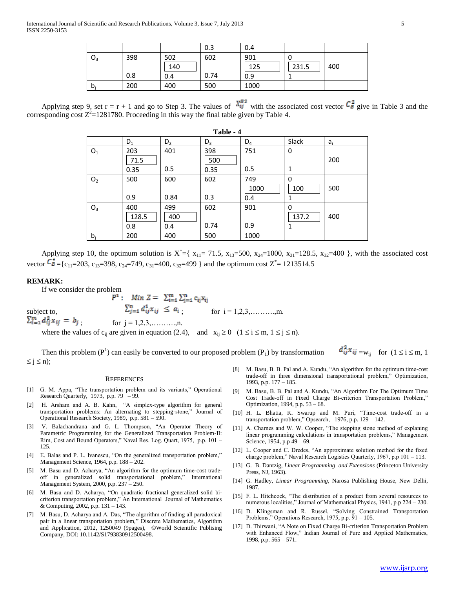|       |     |     | 0.3  | 0.4  |       |     |
|-------|-----|-----|------|------|-------|-----|
| $O_3$ | 398 | 502 | 602  | 901  |       |     |
|       |     | 140 |      | 125  | 231.5 | 400 |
|       | 0.8 | 0.4 | 0.74 | 0.9  |       |     |
| $b_i$ | 200 | 400 | 500  | 1000 |       |     |

Applying step 9, set  $r = r + 1$  and go to Step 3. The values of  $\frac{X_{ij}^{B2}}{y}$  with the associated cost vector  $C_B^2$  give in Table 3 and the corresponding cost  $Z^2$ =1281780. Proceeding in this way the final table given by Table 4.

| Table - 4       |       |                |       |       |       |       |  |  |
|-----------------|-------|----------------|-------|-------|-------|-------|--|--|
|                 | $D_1$ | D <sub>2</sub> | $D_3$ | $D_4$ | Slack | $a_i$ |  |  |
| ${\mathsf O}_1$ | 203   | 401            | 398   | 751   | 0     |       |  |  |
|                 | 71.5  |                | 500   |       |       | 200   |  |  |
|                 | 0.35  | 0.5            | 0.35  | 0.5   | 1     |       |  |  |
| O <sub>2</sub>  | 500   | 600            | 602   | 749   | 0     |       |  |  |
|                 |       |                |       | 1000  | 100   | 500   |  |  |
|                 | 0.9   | 0.84           | 0.3   | 0.4   | 1     |       |  |  |
| O <sub>3</sub>  | 400   | 499            | 602   | 901   | 0     |       |  |  |
|                 | 128.5 | 400            |       |       | 137.2 | 400   |  |  |
|                 | 0.8   | 0.4            | 0.74  | 0.9   | 1     |       |  |  |
| $b_i$           | 200   | 400            | 500   | 1000  |       |       |  |  |

Applying step 10, the optimum solution is  $X^* = \{ x_{11} = 71.5, x_{13} = 500, x_{24} = 1000, x_{31} = 128.5, x_{32} = 400 \}$ , with the associated cost vector  $\mathcal{C}_{\mathbf{B}} = \{c_{11} = 203, c_{13} = 398, c_{24} = 749, c_{31} = 400, c_{32} = 499\}$  and the optimum cost  $Z^* = 1213514.5$ 

#### **REMARK:**

If we consider the problem<br>  $P^1:$  Min  $Z = \sum_{i=1}^m \sum_{j=1}^n c_{ij} x_{ij}$ subject to,  $\sum_{j=1}^{n} d_{ij}^{1} x_{ij} \le a_i$ ; for  $i = 1, 2, 3, \dots, m$ .  $\sum_{i=1}^{m} d_{ij}^{2} x_{ij} = b_{j}$ ; for  $j = 1, 2, 3, \dots, n$ . where the values of  $c_{ij}$  are given in equation (2.4), and  $x_{ij} \ge 0$  ( $1 \le i \le m$ ,  $1 \le j \le n$ ).

Then this problem (P<sup>1</sup>) can easily be converted to our proposed problem (P<sub>1</sub>) by transformation  $d_{ij}^* x_{ij} = w_{ij}$  for  $(1 \le i \le m, 1$  $\leq j \leq n);$ 

#### **REFERENCES**

- [1] G. M. Appa, "The transportation problem and its variants," Operational Research Quarterly, 1973, p.p.  $79 - 99$ .
- [2] H. Arsham and A. B. Kahn, "A simplex-type algorithm for general transportation problems: An alternating to stepping-stone," Journal of Operational Research Society, 1989, p.p. 581 – 590.
- [3] V. Balachandrana and G. L. Thompson, "An Operator Theory of Parametric Programming for the Generalized Transportation Problem-II: Rim, Cost and Bound Operators," Naval Res. Log. Quart, 1975, p.p. 101 – 125.
- [4] E. Balas and P. L. Ivanescu, "On the generalized transportation problem," Management Science, 1964, p.p. 188 – 202.
- [5] M. Basu and D. Acharya, "An algorithm for the optimum time-cost tradeoff in generalized solid transportational problem," International Management System, 2000, p.p. 237 – 250.
- [6] M. Basu and D. Acharya, "On quadratic fractional generalized solid bicriterion transportation problem," An International Journal of Mathematics & Computing, 2002, p.p. 131 – 143.
- [7] M. Basu, D. Acharya and A. Das, "The algorithm of finding all paradoxical pair in a linear transportation problem," Discrete Mathematics, Algorithm and Application, 2012, 1250049 (9pages), ©World Scientific Publising Company, DOI: 10.1142/S1793830912500498.
- [8] M. Basu, B. B. Pal and A. Kundu, "An algorithm for the optimum time-cost trade-off in three dimensional transportational problem," Optimization, 1993, p.p. 177 – 185.
- [9] M. Basu, B. B. Pal and A. Kundu, "An Algorithm For The Optimum Time Cost Trade-off in Fixed Charge Bi-criterion Transportation Problem," Optimization, 1994, p.p. 53 – 68.
- [10] H. L. Bhatia, K. Swarup and M. Puri, "Time-cost trade-off in a transportation problem," Opsearch, 1976, p.p. 129 – 142.
- [11] A. Charnes and W. W. Cooper, "The stepping stone method of explaning linear programming calculations in transportation problems," Management Science, 1954, p.p 49 – 69.
- [12] L. Cooper and C. Dredes, "An approximate solution method for the fixed charge problem," Naval Research Logistics Quarterly, 1967, p.p 101 – 113.
- [13] G. B. Dantzig, *Linear Programming and Extensions* (Princeton University Press, NJ, 1963).
- [14] G. Hadley, *Linear Programming,* Narosa Publishing House, New Delhi, 1987.
- [15] F. L. Hitchcock, "The distribution of a product from several resources to numerous localities," Journal of Mathematical Physics, 1941, p.p 224 – 230.
- [16] D. Klingsman and R. Russel, "Solving Constrained Transportation Problems," Operations Research, 1975, p.p. 91 – 105.
- [17] D. Thirwani, "A Note on Fixed Charge Bi-criterion Transportation Problem with Enhanced Flow," Indian Journal of Pure and Applied Mathematics, 1998, p.p. 565 – 571.